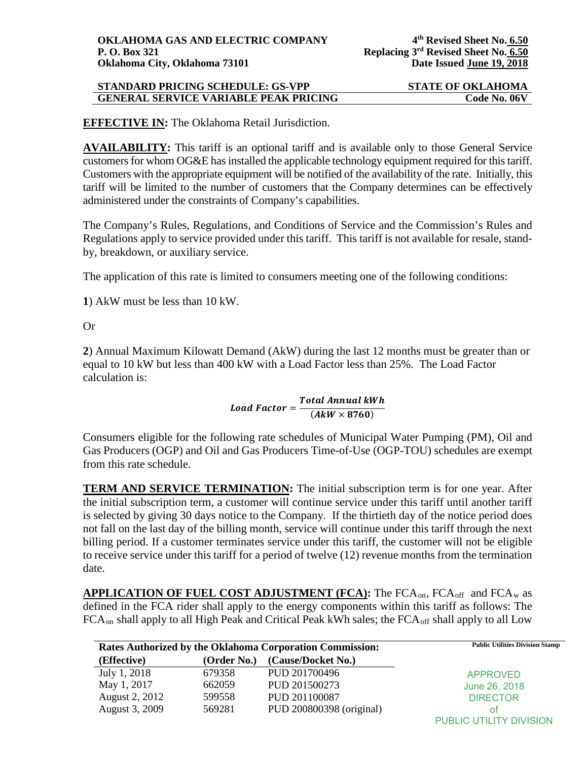### **STANDARD PRICING SCHEDULE: GS-VPP STATE OF OKLAHOMA GENERAL SERVICE VARIABLE PEAK PRICING CODE NO. 06V**

**EFFECTIVE IN:** The Oklahoma Retail Jurisdiction.

**AVAILABILITY:** This tariff is an optional tariff and is available only to those General Service customers for whom OG&E has installed the applicable technology equipment required for this tariff. Customers with the appropriate equipment will be notified of the availability of the rate. Initially, this tariff will be limited to the number of customers that the Company determines can be effectively administered under the constraints of Company's capabilities.

The Company's Rules, Regulations, and Conditions of Service and the Commission's Rules and Regulations apply to service provided under this tariff. This tariff is not available for resale, standby, breakdown, or auxiliary service.

The application of this rate is limited to consumers meeting one of the following conditions:

**1**) AkW must be less than 10 kW.

Or

**2**) Annual Maximum Kilowatt Demand (AkW) during the last 12 months must be greater than or equal to 10 kW but less than 400 kW with a Load Factor less than 25%. The Load Factor calculation is:

# $\small \textit{Load Factor} = \frac{\textit{Total Annual kWh}}{(\textit{AkW} \times 8760)}$

Consumers eligible for the following rate schedules of Municipal Water Pumping (PM), Oil and Gas Producers (OGP) and Oil and Gas Producers Time-of-Use (OGP-TOU) schedules are exempt from this rate schedule.

**TERM AND SERVICE TERMINATION:** The initial subscription term is for one year. After the initial subscription term, a customer will continue service under this tariff until another tariff is selected by giving 30 days notice to the Company. If the thirtieth day of the notice period does not fall on the last day of the billing month, service will continue under this tariff through the next billing period. If a customer terminates service under this tariff, the customer will not be eligible to receive service under this tariff for a period of twelve (12) revenue months from the termination date.

APPLICATION OF FUEL COST ADJUSTMENT (FCA): The FCA<sub>on</sub>, FCA<sub>off</sub> and FCA<sub>w</sub> as defined in the FCA rider shall apply to the energy components within this tariff as follows: The FCA<sub>on</sub> shall apply to all High Peak and Critical Peak kWh sales; the FCA<sub>off</sub> shall apply to all Low

| <b>Rates Authorized by the Oklahoma Corporation Commission:</b> |             | <b>Public Utilities Division Stamp</b> |                         |
|-----------------------------------------------------------------|-------------|----------------------------------------|-------------------------|
| (Effective)                                                     | (Order No.) | (Cause/Docket No.)                     |                         |
| July 1, 2018                                                    | 679358      | PUD 201700496                          | <b>APPROVED</b>         |
| May 1, 2017                                                     | 662059      | PUD 201500273                          | June 26, 2018           |
| August 2, 2012                                                  | 599558      | PUD 201100087                          | <b>DIRECTOR</b>         |
| August 3, 2009                                                  | 569281      | PUD 200800398 (original)               | ΩŤ                      |
|                                                                 |             |                                        | PUBLIC UTILITY DIVISION |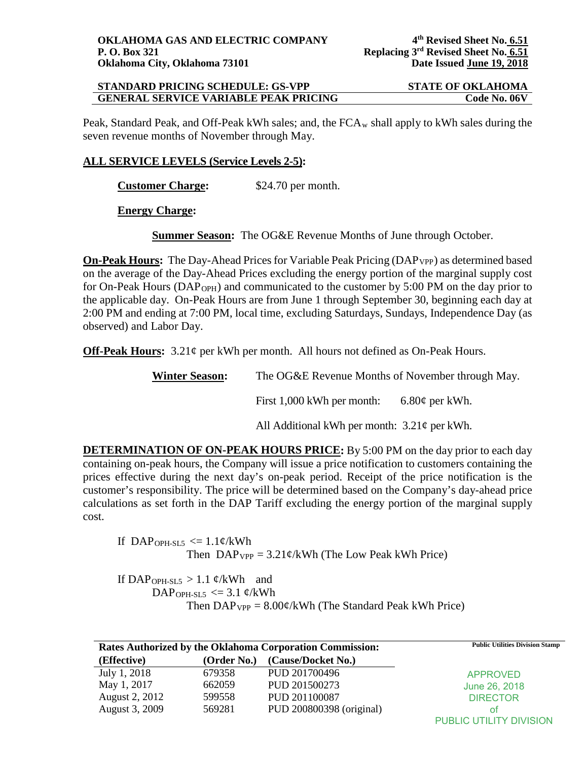#### **STANDARD PRICING SCHEDULE: GS-VPP STATE OF OKLAHOMA GENERAL SERVICE VARIABLE PEAK PRICING Code No. 06V**

Peak, Standard Peak, and Off-Peak kWh sales; and, the  $FCA_w$  shall apply to kWh sales during the seven revenue months of November through May.

### **ALL SERVICE LEVELS (Service Levels 2-5):**

**Customer Charge:** \$24.70 per month.

**Energy Charge:**

**Summer Season:** The OG&E Revenue Months of June through October.

**On-Peak Hours:** The Day-Ahead Prices for Variable Peak Pricing (DAP<sub>VPP</sub>) as determined based on the average of the Day-Ahead Prices excluding the energy portion of the marginal supply cost for On-Peak Hours (DAP<sub>OPH</sub>) and communicated to the customer by 5:00 PM on the day prior to the applicable day. On-Peak Hours are from June 1 through September 30, beginning each day at 2:00 PM and ending at 7:00 PM, local time, excluding Saturdays, Sundays, Independence Day (as observed) and Labor Day.

**Off-Peak Hours:** 3.21¢ per kWh per month. All hours not defined as On-Peak Hours.

**Winter Season:** The OG&E Revenue Months of November through May.

First 1,000 kWh per month: 6.80 $\varphi$  per kWh.

All Additional kWh per month:  $3.21\phi$  per kWh.

**DETERMINATION OF ON-PEAK HOURS PRICE:** By 5:00 PM on the day prior to each day containing on-peak hours, the Company will issue a price notification to customers containing the prices effective during the next day's on-peak period. Receipt of the price notification is the customer's responsibility. The price will be determined based on the Company's day-ahead price calculations as set forth in the DAP Tariff excluding the energy portion of the marginal supply cost.

If DAP<sub>OPH-SL5</sub>  $\leq$  1.1¢/kWh Then  $DAP_{VPP} = 3.21 \frac{\varphi}{kWh}$  (The Low Peak kWh Price)

If DAP<sub>OPH-SL5</sub> > 1.1  $\varphi$ /kWh and DAP<sub>OPH-SL5</sub>  $\leq$  3.1 ¢/kWh Then  $DAP_{VPP} = 8.00 \phi / kWh$  (The Standard Peak kWh Price)

| Rates Authorized by the Oklahoma Corporation Commission: |             | <b>Public Utilities Division Stamp</b> |                         |
|----------------------------------------------------------|-------------|----------------------------------------|-------------------------|
| (Effective)                                              | (Order No.) | (Cause/Docket No.)                     |                         |
| July 1, 2018                                             | 679358      | PUD 201700496                          | <b>APPROVED</b>         |
| May 1, 2017                                              | 662059      | PUD 201500273                          | June 26, 2018           |
| August 2, 2012                                           | 599558      | PUD 201100087                          | <b>DIRECTOR</b>         |
| August 3, 2009                                           | 569281      | PUD 200800398 (original)               | οt                      |
|                                                          |             |                                        | PUBLIC UTILITY DIVISION |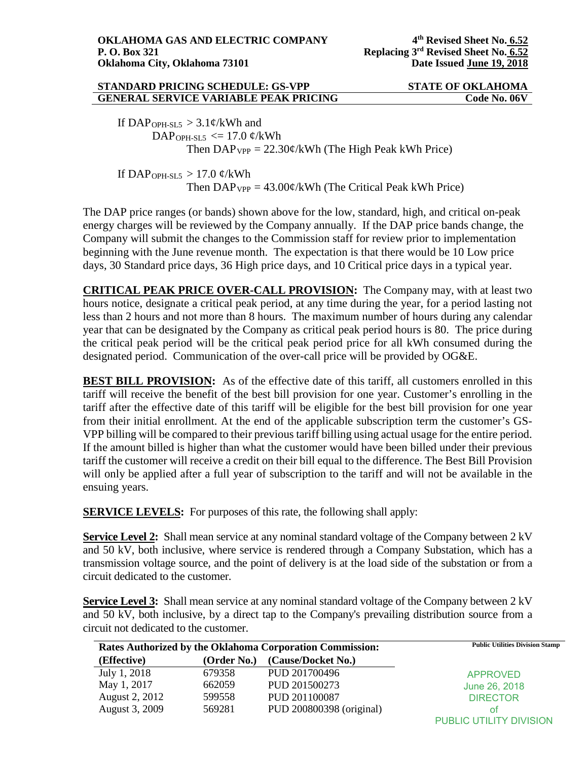#### **STANDARD PRICING SCHEDULE: GS-VPP STATE OF OKLAHOMA GENERAL SERVICE VARIABLE PEAK PRICING CODE NO. 06V**

If DAP<sub>OPH-SL5</sub>  $> 3.1 \frac{\varphi}{kWh}$  and DAP<sub>OPH-SL5</sub>  $\leq$  17.0 ¢/kWh Then  $DAP_{VPP} = 22.30 \frac{\cancel{c}}{kWh}$  (The High Peak kWh Price)

If DAP<sub>OPH-SL5</sub>  $> 17.0$  ¢/kWh Then  $DAP_{VPP} = 43.00 \frac{\epsilon}{kWh}$  (The Critical Peak kWh Price)

The DAP price ranges (or bands) shown above for the low, standard, high, and critical on-peak energy charges will be reviewed by the Company annually. If the DAP price bands change, the Company will submit the changes to the Commission staff for review prior to implementation beginning with the June revenue month. The expectation is that there would be 10 Low price days, 30 Standard price days, 36 High price days, and 10 Critical price days in a typical year.

**CRITICAL PEAK PRICE OVER-CALL PROVISION:** The Company may, with at least two hours notice, designate a critical peak period, at any time during the year, for a period lasting not less than 2 hours and not more than 8 hours. The maximum number of hours during any calendar year that can be designated by the Company as critical peak period hours is 80. The price during the critical peak period will be the critical peak period price for all kWh consumed during the designated period. Communication of the over-call price will be provided by OG&E.

**BEST BILL PROVISION:** As of the effective date of this tariff, all customers enrolled in this tariff will receive the benefit of the best bill provision for one year. Customer's enrolling in the tariff after the effective date of this tariff will be eligible for the best bill provision for one year from their initial enrollment. At the end of the applicable subscription term the customer's GS-VPP billing will be compared to their previous tariff billing using actual usage for the entire period. If the amount billed is higher than what the customer would have been billed under their previous tariff the customer will receive a credit on their bill equal to the difference. The Best Bill Provision will only be applied after a full year of subscription to the tariff and will not be available in the ensuing years.

**SERVICE LEVELS:** For purposes of this rate, the following shall apply:

**Service Level 2:** Shall mean service at any nominal standard voltage of the Company between 2 kV and 50 kV, both inclusive, where service is rendered through a Company Substation, which has a transmission voltage source, and the point of delivery is at the load side of the substation or from a circuit dedicated to the customer.

**Service Level 3:** Shall mean service at any nominal standard voltage of the Company between 2 kV and 50 kV, both inclusive, by a direct tap to the Company's prevailing distribution source from a circuit not dedicated to the customer.

| <b>Rates Authorized by the Oklahoma Corporation Commission:</b> |             | <b>Public Utilities Division Stamp</b> |                                |
|-----------------------------------------------------------------|-------------|----------------------------------------|--------------------------------|
| (Effective)                                                     | (Order No.) | (Cause/Docket No.)                     |                                |
| July 1, 2018                                                    | 679358      | PUD 201700496                          | <b>APPROVED</b>                |
| May 1, 2017                                                     | 662059      | PUD 201500273                          | June 26, 2018                  |
| August 2, 2012                                                  | 599558      | PUD 201100087                          | <b>DIRECTOR</b>                |
| August 3, 2009                                                  | 569281      | PUD 200800398 (original)               | οt                             |
|                                                                 |             |                                        | <b>PUBLIC UTILITY DIVISION</b> |